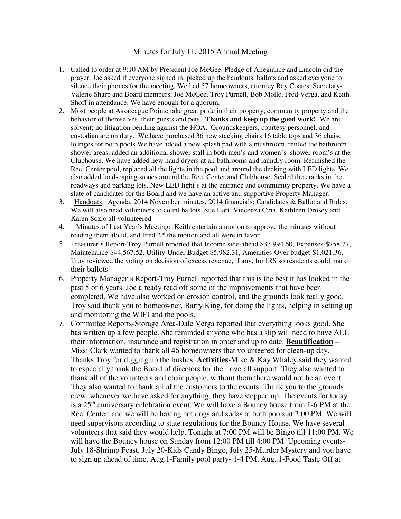## Minutes for July 11, 2015 Annual Meeting

- 1. Called to order at 9:10 AM by President Joe McGee. Pledge of Allegiance and Lincoln did the prayer. Joe asked if everyone signed in, picked up the handouts, ballots and asked everyone to silence their phones for the meeting. We had 57 homeowners, attorney Ray Coates, Secretary-Valerie Sharp and Board members, Joe McGee, Troy Purnell, Bob Molle, Fred Verga, and Keith Shoff in attendance. We have enough for a quorum.
- 2. Most people at Assateague Pointe take great pride in their property, community property and the behavior of themselves, their guests and pets. **Thanks and keep up the good work!** We are solvent; no litigation pending against the HOA. Groundskeepers, courtesy personnel, and custodian are on duty. We have purchased 36 new stacking chairs 16 table tops and 36 chaise lounges for both pools We have added a new splash pad with a mushroom, retiled the bathroom shower areas, added an additional shower stall in both men's and women's shower room's at the Clubhouse. We have added new hand dryers at all bathrooms and laundry room. Refinished the Rec. Center pool, replaced all the lights in the pool and around the decking with LED lights. We also added landscaping stones around the Rec. Center and Clubhouse. Sealed the cracks in the roadways and parking lots. New LED light's at the entrance and community property. We have a slate of candidates for the Board and we have an active and supportive Property Manager.
- 3. Handouts: Agenda, 2014 November minutes, 2014 financials; Candidates & Ballot and Rules. We will also need volunteers to count ballots. Sue Hart, Vincenza Cina, Kathleen Drosey and Karen Sozio all volunteered.
- 4. Minutes of Last Year's Meeting: Keith entertain a motion to approve the minutes without reading them aloud, and Fred 2<sup>nd</sup> the motion and all were in favor.
- 5. Treasurer's Report-Troy Purnell reported that Income side-ahead \$33,994.60, Expenses-\$758.77, Maintenance-\$44,567.52, Utility-Under Budget \$5,982.31, Amenities-Over budget-\$1,021.36. Troy reviewed the voting on decision of excess revenue, if any, for IRS so residents could mark their ballots.
- 6. Property Manager's Report-Troy Purnell reported that this is the best it has looked in the past 5 or 6 years. Joe already read off some of the improvements that have been completed. We have also worked on erosion control, and the grounds look really good. Troy said thank you to homeowner, Barry King, for doing the lights, helping in setting up and monitoring the WIFI and the pools.
- 7. Committee Reports-Storage Area-Dale Verga reported that everything looks good. She has written up a few people. She reminded anyone who has a slip will need to have ALL their information, insurance and registration in order and up to date. **Beautification** – Missi Clark wanted to thank all 46 homeowners that volunteered for clean-up day. Thanks Troy for digging up the bushes. **Activities-**Mike & Kay Whaley said they wanted to especially thank the Board of directors for their overall support. They also wanted to thank all of the volunteers and chair people, without them there would not be an event. They also wanted to thank all of the customers to the events. Thank you to the grounds crew, whenever we have asked for anything, they have stepped up. The events for today is a 25th anniversary celebration event. We will have a Bouncy house from 1-6 PM at the Rec. Center, and we will be having hot dogs and sodas at both pools at 2:00 PM. We will need supervisors according to state regulations for the Bouncy House. We have several volunteers that said they would help. Tonight at 7:00 PM will be Bingo till 11:00 PM. We will have the Bouncy house on Sunday from 12:00 PM till 4:00 PM. Upcoming events-July 18-Shrimp Feast, July 20-Kids Candy Bingo, July 25-Murder Mystery and you have to sign up ahead of time, Aug.1-Family pool party- 1-4 PM, Aug. 1-Food Taste Off at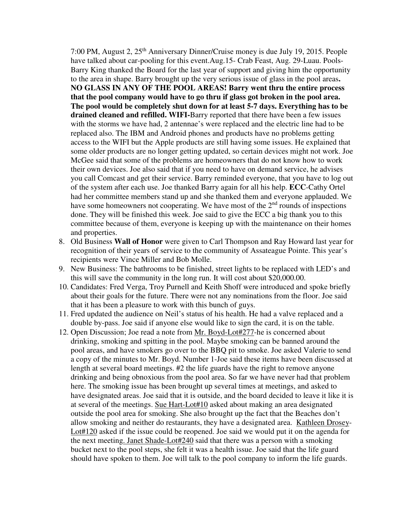7:00 PM, August 2, 25th Anniversary Dinner/Cruise money is due July 19, 2015. People have talked about car-pooling for this event.Aug.15- Crab Feast, Aug. 29-Luau. Pools-Barry King thanked the Board for the last year of support and giving him the opportunity to the area in shape. Barry brought up the very serious issue of glass in the pool areas**. NO GLASS IN ANY OF THE POOL AREAS! Barry went thru the entire process that the pool company would have to go thru if glass got broken in the pool area. The pool would be completely shut down for at least 5-7 days. Everything has to be drained cleaned and refilled. WIFI-**Barry reported that there have been a few issues with the storms we have had, 2 antennae's were replaced and the electric line had to be replaced also. The IBM and Android phones and products have no problems getting access to the WIFI but the Apple products are still having some issues. He explained that some older products are no longer getting updated, so certain devices might not work. Joe McGee said that some of the problems are homeowners that do not know how to work their own devices. Joe also said that if you need to have on demand service, he advises you call Comcast and get their service. Barry reminded everyone, that you have to log out of the system after each use. Joe thanked Barry again for all his help. **ECC**-Cathy Ortel had her committee members stand up and she thanked them and everyone applauded. We have some homeowners not cooperating. We have most of the  $2<sup>nd</sup>$  rounds of inspections done. They will be finished this week. Joe said to give the ECC a big thank you to this committee because of them, everyone is keeping up with the maintenance on their homes and properties.

- 8. Old Business **Wall of Honor** were given to Carl Thompson and Ray Howard last year for recognition of their years of service to the community of Assateague Pointe. This year's recipients were Vince Miller and Bob Molle.
- 9. New Business: The bathrooms to be finished, street lights to be replaced with LED's and this will save the community in the long run. It will cost about \$20,000.00.
- 10. Candidates: Fred Verga, Troy Purnell and Keith Shoff were introduced and spoke briefly about their goals for the future. There were not any nominations from the floor. Joe said that it has been a pleasure to work with this bunch of guys.
- 11. Fred updated the audience on Neil's status of his health. He had a valve replaced and a double by-pass. Joe said if anyone else would like to sign the card, it is on the table.
- 12. Open Discussion; Joe read a note from Mr. Boyd-Lot#277-he is concerned about drinking, smoking and spitting in the pool. Maybe smoking can be banned around the pool areas, and have smokers go over to the BBQ pit to smoke. Joe asked Valerie to send a copy of the minutes to Mr. Boyd. Number 1-Joe said these items have been discussed at length at several board meetings. #2 the life guards have the right to remove anyone drinking and being obnoxious from the pool area. So far we have never had that problem here. The smoking issue has been brought up several times at meetings, and asked to have designated areas. Joe said that it is outside, and the board decided to leave it like it is at several of the meetings. Sue Hart-Lot#10 asked about making an area designated outside the pool area for smoking. She also brought up the fact that the Beaches don't allow smoking and neither do restaurants, they have a designated area. Kathleen Drosey-Lot#120 asked if the issue could be reopened. Joe said we would put it on the agenda for the next meeting. Janet Shade-Lot#240 said that there was a person with a smoking bucket next to the pool steps, she felt it was a health issue. Joe said that the life guard should have spoken to them. Joe will talk to the pool company to inform the life guards.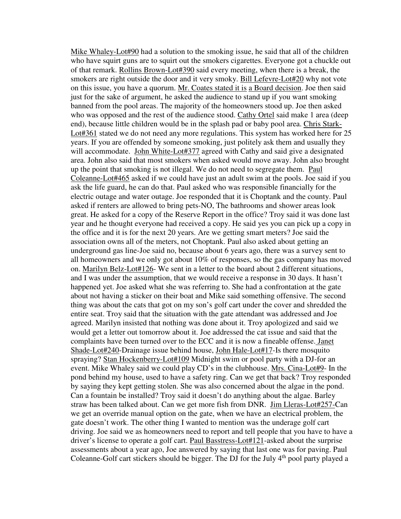Mike Whaley-Lot#90 had a solution to the smoking issue, he said that all of the children who have squirt guns are to squirt out the smokers cigarettes. Everyone got a chuckle out of that remark. Rollins Brown-Lot#390 said every meeting, when there is a break, the smokers are right outside the door and it very smoky. Bill Lefevre-Lot#20 why not vote on this issue, you have a quorum. Mr. Coates stated it is a Board decision. Joe then said just for the sake of argument, he asked the audience to stand up if you want smoking banned from the pool areas. The majority of the homeowners stood up. Joe then asked who was opposed and the rest of the audience stood. Cathy Ortel said make 1 area (deep end), because little children would be in the splash pad or baby pool area. Chris Stark-Lot#361 stated we do not need any more regulations. This system has worked here for 25 years. If you are offended by someone smoking, just politely ask them and usually they will accommodate. John White-Lot#377 agreed with Cathy and said give a designated area. John also said that most smokers when asked would move away. John also brought up the point that smoking is not illegal. We do not need to segregate them. Paul Coleanne-Lot#465 asked if we could have just an adult swim at the pools. Joe said if you ask the life guard, he can do that. Paul asked who was responsible financially for the electric outage and water outage. Joe responded that it is Choptank and the county. Paul asked if renters are allowed to bring pets-NO, The bathrooms and shower areas look great. He asked for a copy of the Reserve Report in the office? Troy said it was done last year and he thought everyone had received a copy. He said yes you can pick up a copy in the office and it is for the next 20 years. Are we getting smart meters? Joe said the association owns all of the meters, not Choptank. Paul also asked about getting an underground gas line-Joe said no, because about 6 years ago, there was a survey sent to all homeowners and we only got about 10% of responses, so the gas company has moved on. Marilyn Belz-Lot#126- We sent in a letter to the board about 2 different situations, and I was under the assumption, that we would receive a response in 30 days. It hasn't happened yet. Joe asked what she was referring to. She had a confrontation at the gate about not having a sticker on their boat and Mike said something offensive. The second thing was about the cats that got on my son's golf cart under the cover and shredded the entire seat. Troy said that the situation with the gate attendant was addressed and Joe agreed. Marilyn insisted that nothing was done about it. Troy apologized and said we would get a letter out tomorrow about it. Joe addressed the cat issue and said that the complaints have been turned over to the ECC and it is now a fineable offense. Janet Shade-Lot#240-Drainage issue behind house, John Hale-Lot#17-Is there mosquito spraying? Stan Hockenberry-Lot#109 Midnight swim or pool party with a DJ-for an event. Mike Whaley said we could play CD's in the clubhouse. Mrs. Cina-Lot#9- In the pond behind my house, used to have a safety ring. Can we get that back? Troy responded by saying they kept getting stolen. She was also concerned about the algae in the pond. Can a fountain be installed? Troy said it doesn't do anything about the algae. Barley straw has been talked about. Can we get more fish from DNR. Jim Lleras-Lot#257-Can we get an override manual option on the gate, when we have an electrical problem, the gate doesn't work. The other thing I wanted to mention was the underage golf cart driving. Joe said we as homeowners need to report and tell people that you have to have a driver's license to operate a golf cart. Paul Basstress-Lot#121-asked about the surprise assessments about a year ago, Joe answered by saying that last one was for paving. Paul Coleanne-Golf cart stickers should be bigger. The DJ for the July 4<sup>th</sup> pool party played a